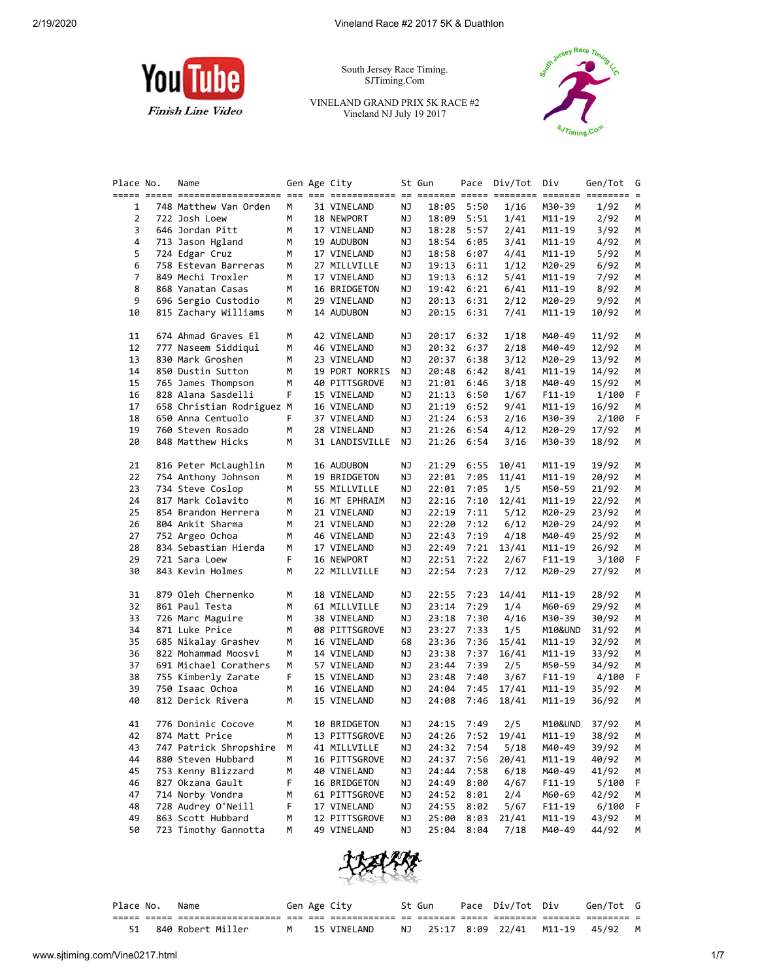

South Jersey Race Timing. SJTiming.Com

VINELAND GRAND PRIX 5K RACE #2 Vineland NJ July 19 2017



| Place No. | Name                      |    | Gen Age City   |    | St Gun | Pace | Div/Tot | Div        | Gen/Tot | G  |
|-----------|---------------------------|----|----------------|----|--------|------|---------|------------|---------|----|
| 1         | 748 Matthew Van Orden     | М  | 31 VINELAND    | ΝJ | 18:05  | 5:50 | 1/16    | M30-39     | 1/92    | М  |
| 2         | 722 Josh Loew             | м  | 18 NEWPORT     | ΝJ | 18:09  | 5:51 | 1/41    | M11-19     | 2/92    | м  |
| 3         | 646 Jordan Pitt           | м  | 17 VINELAND    | ΝJ | 18:28  | 5:57 | 2/41    | M11-19     | 3/92    | м  |
| 4         | 713 Jason Hgland          | м  | 19 AUDUBON     | ΝJ | 18:54  | 6:05 | 3/41    | M11-19     | 4/92    | м  |
| 5         | 724 Edgar Cruz            | м  | 17 VINELAND    | ΝJ | 18:58  | 6:07 | 4/41    | M11-19     | 5/92    | М  |
| 6         | 758 Estevan Barreras      | м  | 27 MILLVILLE   | ΝJ | 19:13  | 6:11 | 1/12    | M20-29     | 6/92    | М  |
| 7         | 849 Mechi Troxler         | м  | 17 VINELAND    | ΝJ | 19:13  | 6:12 | 5/41    | M11-19     | 7/92    | М  |
| 8         | 868 Yanatan Casas         | м  | 16 BRIDGETON   | ΝJ | 19:42  | 6:21 | 6/41    | M11-19     | 8/92    | М  |
| 9         | 696 Sergio Custodio       | м  | 29 VINELAND    | ΝJ | 20:13  | 6:31 | 2/12    | M20-29     | 9/92    | м  |
| 10        | 815 Zachary Williams      | м  | 14 AUDUBON     | ΝJ | 20:15  | 6:31 | 7/41    | M11-19     | 10/92   | м  |
| 11        | 674 Ahmad Graves El       | М  | 42 VINELAND    | ΝJ | 20:17  | 6:32 | 1/18    | M40-49     | 11/92   | М  |
| 12        | 777 Naseem Siddiqui       | м  | 46 VINELAND    | ΝJ | 20:32  | 6:37 | 2/18    | M40-49     | 12/92   | М  |
| 13        | 830 Mark Groshen          | м  | 23 VINELAND    | ΝJ | 20:37  | 6:38 | 3/12    | M20-29     | 13/92   | м  |
| 14        | 850 Dustin Sutton         | м  | 19 PORT NORRIS | ΝJ | 20:48  | 6:42 | 8/41    | M11-19     | 14/92   | м  |
| 15        | 765 James Thompson        | м  | 40 PITTSGROVE  | ΝJ | 21:01  | 6:46 | 3/18    | M40-49     | 15/92   | м  |
| 16        | 828 Alana Sasdelli        | F  | 15 VINELAND    | ΝJ | 21:13  | 6:50 | 1/67    | $F11-19$   | 1/100   | F  |
| 17        | 658 Christian Rodriguez M |    | 16 VINELAND    | ΝJ | 21:19  | 6:52 | 9/41    | M11-19     | 16/92   | М  |
| 18        | 650 Anna Centuolo         | F. | 37 VINELAND    | ΝJ | 21:24  | 6:53 | 2/16    | M30-39     | 2/100   | F  |
| 19        | 760 Steven Rosado         | М  | 28 VINELAND    | ΝJ | 21:26  | 6:54 | 4/12    | M20-29     | 17/92   | М  |
| 20        | 848 Matthew Hicks         | м  | 31 LANDISVILLE | ΝJ | 21:26  | 6:54 | 3/16    | M30-39     | 18/92   | м  |
| 21        | 816 Peter McLaughlin      | м  | 16 AUDUBON     | ΝJ | 21:29  | 6:55 | 10/41   | M11-19     | 19/92   | м  |
| 22        | 754 Anthony Johnson       | м  | 19 BRIDGETON   | ΝJ | 22:01  | 7:05 | 11/41   | M11-19     | 20/92   | М  |
| 23        | 734 Steve Coslop          | м  | 55 MILLVILLE   | ΝJ | 22:01  | 7:05 | 1/5     | M50-59     | 21/92   | M  |
| 24        | 817 Mark Colavito         | м  | 16 MT EPHRAIM  | ΝJ | 22:16  | 7:10 | 12/41   | M11-19     | 22/92   | м  |
| 25        | 854 Brandon Herrera       | м  | 21 VINELAND    | ΝJ | 22:19  | 7:11 | 5/12    | M20-29     | 23/92   | м  |
| 26        | 804 Ankit Sharma          | м  | 21 VINELAND    | ΝJ | 22:20  | 7:12 | 6/12    | M20-29     | 24/92   | M  |
| 27        | 752 Argeo Ochoa           | м  | 46 VINELAND    | ΝJ | 22:43  | 7:19 | 4/18    | M40-49     | 25/92   | М  |
| 28        | 834 Sebastian Hierda      | м  | 17 VINELAND    | ΝJ | 22:49  | 7:21 | 13/41   | M11-19     | 26/92   | М  |
| 29        | 721 Sara Loew             | F  | 16 NEWPORT     | ΝJ | 22:51  | 7:22 | 2/67    | $F11-19$   | 3/100   | F  |
| 30        | 843 Kevin Holmes          | М  | 22 MILLVILLE   | ΝJ | 22:54  | 7:23 | 7/12    | M20-29     | 27/92   | М  |
| 31        | 879 Oleh Chernenko        | м  | 18 VINELAND    | ΝJ | 22:55  | 7:23 | 14/41   | M11-19     | 28/92   | м  |
| 32        | 861 Paul Testa            | м  | 61 MILLVILLE   | ΝJ | 23:14  | 7:29 | 1/4     | M60-69     | 29/92   | м  |
| 33        | 726 Marc Maguire          | м  | 38 VINELAND    | ΝJ | 23:18  | 7:30 | 4/16    | M30-39     | 30/92   | М  |
| 34        | 871 Luke Price            | м  | 08 PITTSGROVE  | ΝJ | 23:27  | 7:33 | 1/5     | M10&UND    | 31/92   | M  |
| 35        | 685 Nikalay Grashev       | м  | 16 VINELAND    | 68 | 23:36  | 7:36 | 15/41   | M11-19     | 32/92   | м  |
| 36        | 822 Mohammad Moosvi       | м  | 14 VINELAND    | ΝJ | 23:38  | 7:37 | 16/41   | M11-19     | 33/92   | м  |
| 37        | 691 Michael Corathers     | м  | 57 VINELAND    | ΝJ | 23:44  | 7:39 | 2/5     | M50-59     | 34/92   | м  |
| 38        | 755 Kimberly Zarate       | F  | 15 VINELAND    | ΝJ | 23:48  | 7:40 | 3/67    | $F11-19$   | 4/100   | F. |
| 39        | 750 Isaac Ochoa           | м  | 16 VINELAND    | ΝJ | 24:04  | 7:45 | 17/41   | M11-19     | 35/92   | М  |
| 40        | 812 Derick Rivera         | М  | 15 VINELAND    | ΝJ | 24:08  | 7:46 | 18/41   | M11-19     | 36/92   | М  |
| 41        | 776 Doninic Cocove        | м  | 10 BRIDGETON   | ΝJ | 24:15  | 7:49 | 2/5     | M10&UND    | 37/92   | М  |
| 42        | 874 Matt Price            | M  | 13 PITTSGROVE  | ΝJ | 24:26  | 7:52 | 19/41   | M11-19     | 38/92   | M  |
| 43        | 747 Patrick Shropshire    | М  | 41 MILLVILLE   | ΝJ | 24:32  | 7:54 | 5/18    | M40-49     | 39/92   | м  |
| 44        | 880 Steven Hubbard        | М  | 16 PITTSGROVE  | ΝJ | 24:37  | 7:56 | 20/41   | M11-19     | 40/92   | м  |
| 45        | 753 Kenny Blizzard        | м  | 40 VINELAND    | ΝJ | 24:44  | 7:58 | 6/18    | M40-49     | 41/92   | м  |
| 46        | 827 Okzana Gault          | F  | 16 BRIDGETON   | ΝJ | 24:49  | 8:00 | 4/67    | $F11-19$   | 5/100   | F  |
| 47        | 714 Norby Vondra          | м  | 61 PITTSGROVE  | ΝJ | 24:52  | 8:01 | 2/4     | M60-69     | 42/92   | М  |
| 48        | 728 Audrey O'Neill        | F  | 17 VINELAND    | ΝJ | 24:55  | 8:02 | 5/67    | $F11 - 19$ | 6/100   | F. |
| 49        | 863 Scott Hubbard         | М  | 12 PITTSGROVE  | ΝJ | 25:00  | 8:03 | 21/41   | M11-19     | 43/92   | M  |
| 50        | 723 Timothy Gannotta      | М  | 49 VINELAND    | ΝJ | 25:04  | 8:04 | 7/18    | M40-49     | 44/92   | М  |



| Place No. | Name                 |  | Gen Age City | St Gun | Pace Div/Tot Div | Gen/Tot G                          |  |
|-----------|----------------------|--|--------------|--------|------------------|------------------------------------|--|
|           |                      |  |              |        |                  |                                    |  |
|           | 51 840 Robert Miller |  | 15 VINELAND  |        |                  | NJ 25:17 8:09 22/41 M11-19 45/92 M |  |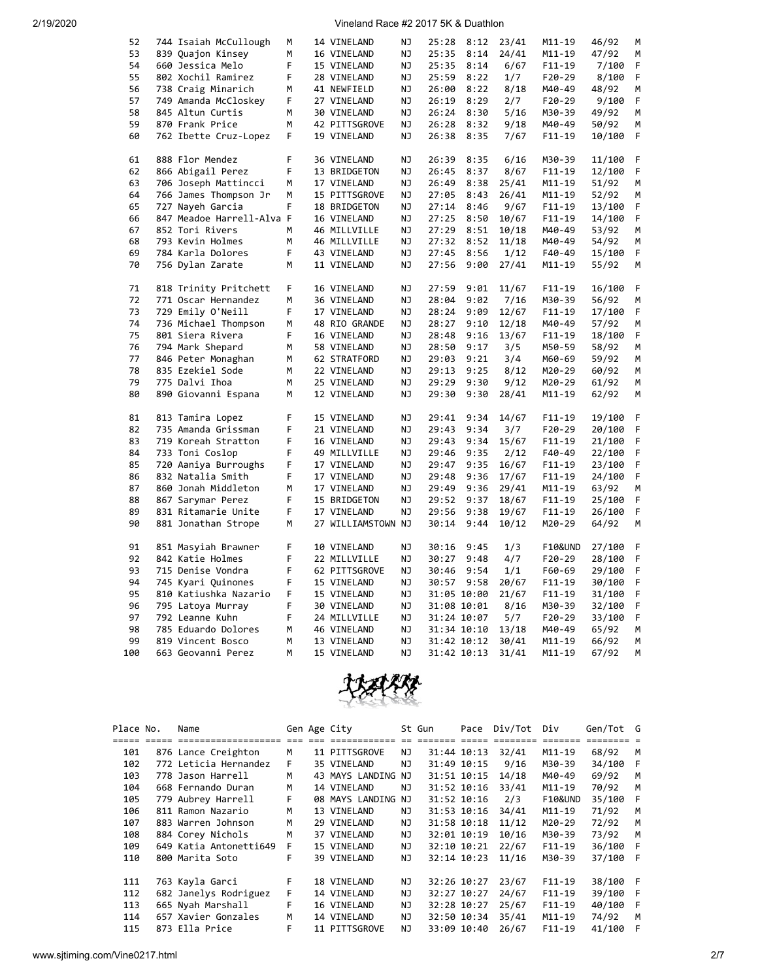| 52  | 744 Isaiah McCullough     | м | 14 VINELAND                | ΝJ        | 25:28 | 8:12                       | 23/41 | M11-19             | 46/92            | М |
|-----|---------------------------|---|----------------------------|-----------|-------|----------------------------|-------|--------------------|------------------|---|
| 53  | 839 Quajon Kinsey         | M | 16 VINELAND                | NJ        | 25:35 | 8:14                       | 24/41 | $M11 - 19$         | 47/92            | M |
| 54  | 660 Jessica Melo          | F | 15 VINELAND                | ΝJ        | 25:35 | 8:14                       | 6/67  | $F11-19$           | 7/100            | F |
| 55  | 802 Xochil Ramirez        | F | 28 VINELAND                | ΝJ        | 25:59 | 8:22                       | 1/7   | F20-29             | 8/100            | F |
| 56  | 738 Craig Minarich        | M | 41 NEWFIELD                | NJ.       | 26:00 | 8:22                       | 8/18  | M40-49             | 48/92            | M |
| 57  | 749 Amanda McCloskey      | F | 27 VINELAND                | NJ        | 26:19 | 8:29                       | 2/7   | $F20-29$           | 9/100            | F |
| 58  | 845 Altun Curtis          | М | 30 VINELAND                | ΝJ        | 26:24 | 8:30                       | 5/16  | M30-39             | 49/92            | M |
| 59  | 870 Frank Price           | М | 42 PITTSGROVE              | <b>NJ</b> | 26:28 | 8:32                       | 9/18  | M40-49             | 50/92            | М |
| 60  | 762 Ibette Cruz-Lopez     | F | 19 VINELAND                | NJ.       | 26:38 | 8:35                       | 7/67  | $F11 - 19$         | 10/100           | F |
|     |                           |   |                            |           |       |                            |       |                    |                  |   |
| 61  | 888 Flor Mendez           | F | 36 VINELAND                | NJ        | 26:39 | 8:35                       | 6/16  | M30-39             | 11/100           | F |
| 62  | 866 Abigail Perez         | F | 13 BRIDGETON               | ΝJ        | 26:45 | 8:37                       | 8/67  | $F11 - 19$         | 12/100           | F |
| 63  | 706 Joseph Mattincci      | М | 17 VINELAND                | ΝJ        | 26:49 | 8:38                       | 25/41 | M11-19             | 51/92            | М |
| 64  | 766 James Thompson Jr     | M | 15 PITTSGROVE              | ΝJ        | 27:05 | 8:43                       | 26/41 | M11-19             | 52/92            | M |
| 65  | 727 Nayeh Garcia          | F | 18 BRIDGETON               | ΝJ        | 27:14 | 8:46                       | 9/67  | $F11 - 19$         | 13/100           | F |
| 66  | 847 Meadoe Harrell-Alva F |   | 16 VINELAND                | NJ        | 27:25 | 8:50                       | 10/67 | $F11 - 19$         | 14/100           | F |
| 67  | 852 Tori Rivers           | M | 46 MILLVILLE               | ΝJ        | 27:29 | 8:51                       | 10/18 | M40-49             | 53/92            | М |
| 68  | 793 Kevin Holmes          | M | 46 MILLVILLE               | ΝJ        | 27:32 | 8:52                       | 11/18 | M40-49             | 54/92            | M |
| 69  | 784 Karla Dolores         | F | 43 VINELAND                | NJ        | 27:45 | 8:56                       | 1/12  | F40-49             | 15/100           | F |
|     |                           |   |                            |           |       |                            |       |                    |                  |   |
| 70  | 756 Dylan Zarate          | M | 11 VINELAND                | ΝJ        | 27:56 | 9:00                       | 27/41 | M11-19             | 55/92            | М |
| 71  | 818 Trinity Pritchett     | F | 16 VINELAND                | ΝJ        | 27:59 | 9:01                       | 11/67 | $F11 - 19$         | 16/100           | F |
| 72  | 771 Oscar Hernandez       | M | 36 VINELAND                | NJ        | 28:04 | 9:02                       | 7/16  | M30-39             | 56/92            | M |
| 73  | 729 Emily O'Neill         | F | 17 VINELAND                | ΝJ        | 28:24 | 9:09                       | 12/67 | $F11 - 19$         | 17/100           | F |
| 74  |                           | М |                            |           |       |                            |       |                    |                  | М |
|     | 736 Michael Thompson      |   | 48 RIO GRANDE              | ΝJ        | 28:27 | 9:10                       | 12/18 | M40-49             | 57/92            |   |
| 75  | 801 Siera Rivera          | F | 16 VINELAND                | ΝJ        | 28:48 | 9:16                       | 13/67 | $F11 - 19$         | 18/100           | F |
| 76  | 794 Mark Shepard          | М | 58 VINELAND                | ΝJ        | 28:50 | 9:17                       | 3/5   | M50-59             | 58/92            | M |
| 77  | 846 Peter Monaghan        | М | 62 STRATFORD               | ΝJ        | 29:03 | 9:21                       | 3/4   | M60-69             | 59/92            | М |
| 78  | 835 Ezekiel Sode          | М | 22 VINELAND                | ΝJ        | 29:13 | 9:25                       | 8/12  | M20-29             | 60/92            | М |
| 79  | 775 Dalvi Ihoa            | М | 25 VINELAND                | ΝJ        | 29:29 | 9:30                       | 9/12  | M20-29             | 61/92            | М |
| 80  | 890 Giovanni Espana       | М | 12 VINELAND                | ΝJ        | 29:30 | 9:30                       | 28/41 | M11-19             | 62/92            | M |
| 81  | 813 Tamira Lopez          | F | 15 VINELAND                | ΝJ        | 29:41 | 9:34                       | 14/67 | $F11 - 19$         | 19/100           | F |
| 82  | 735 Amanda Grissman       | F | 21 VINELAND                | ΝJ        | 29:43 | 9:34                       | 3/7   | $F20-29$           | 20/100           | F |
| 83  | 719 Koreah Stratton       | F | 16 VINELAND                | ΝJ        | 29:43 | 9:34                       | 15/67 | $F11 - 19$         | 21/100           | F |
| 84  | 733 Toni Coslop           | F |                            | NJ        | 29:46 | 9:35                       |       | F40-49             |                  | F |
| 85  |                           | F | 49 MILLVILLE               |           |       |                            | 2/12  |                    | 22/100           |   |
|     | 720 Aaniya Burroughs      |   | 17 VINELAND                | ΝJ        | 29:47 | 9:35                       | 16/67 | $F11-19$           | 23/100           | F |
| 86  | 832 Natalia Smith         | F | 17 VINELAND                | ΝJ        | 29:48 | 9:36                       | 17/67 | $F11 - 19$         | 24/100           | F |
| 87  | 860 Jonah Middleton       | M | 17 VINELAND                | ΝJ        | 29:49 | 9:36                       | 29/41 | M11-19             | 63/92            | M |
| 88  | 867 Sarymar Perez         | F | 15 BRIDGETON               | ΝJ        | 29:52 | 9:37                       | 18/67 | $F11 - 19$         | 25/100           | F |
| 89  | 831 Ritamarie Unite       | F | 17 VINELAND                | <b>NJ</b> | 29:56 | 9:38                       | 19/67 | $F11 - 19$         | 26/100           | F |
| 90  | 881 Jonathan Strope       | М | 27 WILLIAMSTOWN NJ         |           | 30:14 | 9:44                       | 10/12 | M20-29             | 64/92            | М |
| 91  | 851 Masyiah Brawner       | F | 10 VINELAND                | ΝJ        | 30:16 | 9:45                       | 1/3   | <b>F10&amp;UND</b> | 27/100           | F |
| 92  | 842 Katie Holmes          | F | 22 MILLVILLE               | ΝJ        | 30:27 | 9:48                       | 4/7   | F20-29             | 28/100           | F |
| 93  | 715 Denise Vondra         | F | 62 PITTSGROVE              | ΝJ        |       | 30:46 9:54                 | 1/1   | F60-69             | 29/100           | F |
| 94  | 745 Kyari Quinones        | F | 15 VINELAND                | ΝJ        |       | 30:57 9:58                 | 20/67 | $F11-19$           |                  | F |
| 95  | 810 Katiushka Nazario     | F | 15 VINELAND                | ΝJ        |       | 31:05 10:00                | 21/67 | F11-19             | 30/100           | F |
| 96  | 795 Latoya Murray         | F | 30 VINELAND                | ΝJ        |       | 31:08 10:01                | 8/16  | M30-39             | 31/100<br>32/100 | F |
| 97  | 792 Leanne Kuhn           | F | 24 MILLVILLE               | NJ        |       | 31:24 10:07                | 5/7   | $F20-29$           | 33/100           | F |
| 98  |                           | М |                            | ΝJ        |       |                            |       |                    |                  | М |
| 99  | 785 Eduardo Dolores       | M | 46 VINELAND<br>13 VINELAND | NJ        |       | 31:34 10:10<br>31:42 10:12 | 13/18 | M40-49<br>M11-19   | 65/92<br>66/92   | M |
| 100 | 819 Vincent Bosco         | M |                            | NJ        |       |                            | 30/41 |                    |                  | M |
|     | 663 Geovanni Perez        |   | 15 VINELAND                |           |       | 31:42 10:13                | 31/41 | $M11 - 19$         | 67/92            |   |



| Place No. | Name                   |      | Gen Age City       |     | St Gun | Pace        | Div/Tot  | Div                | Gen/Tot G |     |
|-----------|------------------------|------|--------------------|-----|--------|-------------|----------|--------------------|-----------|-----|
|           | ====================   | $==$ | ees essessessess   |     |        |             | ======== | --------           |           |     |
| 101       | 876 Lance Creighton    | м    | 11 PITTSGROVE      | ΝJ  |        | 31:44 10:13 | 32/41    | $M11 - 19$         | 68/92     | M   |
| 102       | 772 Leticia Hernandez  | F    | 35 VINELAND        | NJ  |        | 31:49 10:15 | 9/16     | M30-39             | 34/100    | - F |
| 103       | 778 Jason Harrell      | М    | 43 MAYS LANDING NJ |     |        | 31:51 10:15 | 14/18    | M40-49             | 69/92     | м   |
| 104       | 668 Fernando Duran     | M    | 14 VINELAND        | ΝJ  |        | 31:52 10:16 | 33/41    | $M11 - 19$         | 70/92     | M   |
| 105       | 779 Aubrey Harrell     | F.   | 08 MAYS LANDING NJ |     |        | 31:52 10:16 | 2/3      | <b>F10&amp;UND</b> | 35/100    | - F |
| 106       | 811 Ramon Nazario      | М    | 13 VINELAND        | NJ  |        | 31:53 10:16 | 34/41    | $M11 - 19$         | 71/92     | M   |
| 107       | 883 Warren Johnson     | М    | 29 VINELAND        | ΝJ  |        | 31:58 10:18 | 11/12    | M20-29             | 72/92     | M   |
| 108       | 884 Corey Nichols      | м    | 37 VINELAND        | ΝJ  |        | 32:01 10:19 | 10/16    | M30-39             | 73/92     | M   |
| 109       | 649 Katia Antonetti649 | F    | 15 VINELAND        | NJ  |        | 32:10 10:21 | 22/67    | $F11-19$           | 36/100 F  |     |
| 110       | 800 Marita Soto        | F    | 39 VINELAND        | NJ. |        | 32:14 10:23 | 11/16    | M30-39             | 37/100 F  |     |
|           |                        |      |                    |     |        |             |          |                    |           |     |
| 111       | 763 Kayla Garci        | F.   | 18 VINELAND        | NJ  |        | 32:26 10:27 | 23/67    | $F11-19$           | 38/100 F  |     |
| 112       | 682 Janelys Rodriguez  | F.   | 14 VINELAND        | NJ  |        | 32:27 10:27 | 24/67    | $F11-19$           | 39/100 F  |     |
| 113       | 665 Nyah Marshall      | F    | 16 VINELAND        | NJ  |        | 32:28 10:27 | 25/67    | $F11-19$           | 40/100    | - F |
| 114       | 657 Xavier Gonzales    | м    | 14 VINELAND        | NJ  |        | 32:50 10:34 | 35/41    | $M11 - 19$         | 74/92     | M   |
| 115       | 873 Ella Price         | F    | 11 PITTSGROVE      | NJ. |        | 33:09 10:40 | 26/67    | $F11-19$           | 41/100    | - F |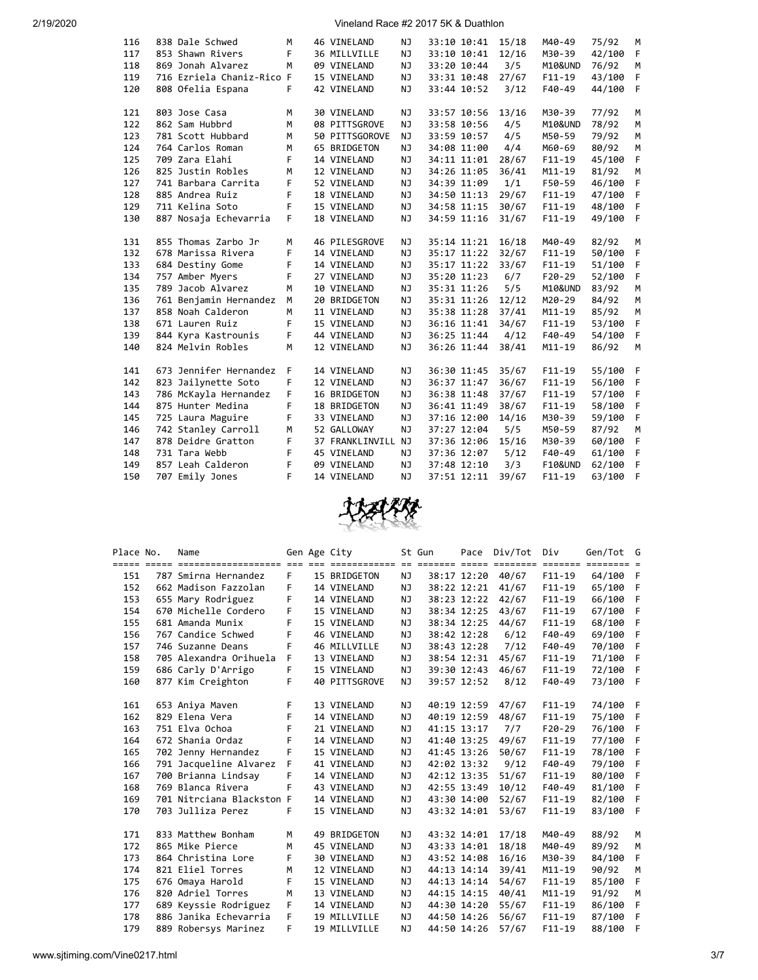| 116 | 838 Dale Schwed           | M  | 46 VINELAND     | NJ.       | 33:10 10:41 | 15/18 | M40-49             | 75/92  | M            |
|-----|---------------------------|----|-----------------|-----------|-------------|-------|--------------------|--------|--------------|
| 117 | 853 Shawn Rivers          | F  | 36 MILLVILLE    | NJ        | 33:10 10:41 | 12/16 | M30-39             | 42/100 | F            |
| 118 | 869 Jonah Alvarez         | M  | 09 VINELAND     | NJ        | 33:20 10:44 | 3/5   | M10&UND            | 76/92  | M            |
| 119 | 716 Ezriela Chaniz-Rico F |    | 15 VINELAND     | NJ        | 33:31 10:48 | 27/67 | $F11-19$           | 43/100 | F            |
| 120 | 808 Ofelia Espana         | F  | 42 VINELAND     | <b>NJ</b> | 33:44 10:52 | 3/12  | F40-49             | 44/100 | F            |
|     |                           |    |                 |           |             |       |                    |        |              |
| 121 | 803 Jose Casa             | М  | 30 VINELAND     | NJ        | 33:57 10:56 | 13/16 | M30-39             | 77/92  | M            |
| 122 | 862 Sam Hubbrd            | M  | 08 PITTSGROVE   | NJ        | 33:58 10:56 | 4/5   | M10&UND            | 78/92  | M            |
| 123 | 781 Scott Hubbard         | M  | 50 PITTSGOROVE  | NJ        | 33:59 10:57 | 4/5   | M50-59             | 79/92  | M            |
| 124 | 764 Carlos Roman          | М  | 65 BRIDGETON    | ΝJ        | 34:08 11:00 | 4/4   | M60-69             | 80/92  | М            |
| 125 | 709 Zara Elahi            | F. | 14 VINELAND     | NJ        | 34:11 11:01 | 28/67 | $F11 - 19$         | 45/100 | F            |
| 126 | 825 Justin Robles         | M  | 12 VINELAND     | NJ        | 34:26 11:05 | 36/41 | $M11 - 19$         | 81/92  | M            |
| 127 | 741 Barbara Carrita       | F  | 52 VINELAND     | NJ        | 34:39 11:09 | 1/1   | F50-59             | 46/100 | F            |
| 128 | 885 Andrea Ruiz           | F  | 18 VINELAND     | NJ        | 34:50 11:13 | 29/67 | $F11 - 19$         | 47/100 | F            |
| 129 | 711 Kelina Soto           | F  | 15 VINELAND     | NJ        | 34:58 11:15 | 30/67 | $F11 - 19$         | 48/100 | E            |
| 130 | 887 Nosaja Echevarria     | F. | 18 VINELAND     | NJ        | 34:59 11:16 | 31/67 | $F11 - 19$         | 49/100 | F            |
|     |                           |    |                 |           |             |       |                    |        |              |
| 131 | 855 Thomas Zarbo Jr       | M  | 46 PILESGROVE   | NJ        | 35:14 11:21 | 16/18 | M40-49             | 82/92  | M            |
| 132 | 678 Marissa Rivera        | F  | 14 VINELAND     | NJ        | 35:17 11:22 | 32/67 | $F11 - 19$         | 50/100 | F            |
| 133 | 684 Destiny Gome          | F  | 14 VINELAND     | NJ        | 35:17 11:22 | 33/67 | $F11-19$           | 51/100 | $\mathsf{F}$ |
| 134 | 757 Amber Myers           | F  | 27 VINELAND     | NJ        | 35:20 11:23 | 6/7   | $F20-29$           | 52/100 | F            |
| 135 | 789 Jacob Alvarez         | M  | 10 VINELAND     | NJ        | 35:31 11:26 | 5/5   | M10&UND            | 83/92  | M            |
| 136 | 761 Benjamin Hernandez    | M  | 20 BRIDGETON    | <b>NJ</b> | 35:31 11:26 | 12/12 | M20-29             | 84/92  | M            |
| 137 | 858 Noah Calderon         | M  | 11 VINELAND     | NJ        | 35:38 11:28 | 37/41 | $M11 - 19$         | 85/92  | M            |
| 138 | 671 Lauren Ruiz           | F  | 15 VINELAND     | NJ        | 36:16 11:41 | 34/67 | $F11 - 19$         | 53/100 | F            |
| 139 | 844 Kyra Kastrounis       | F  | 44 VINELAND     | NJ        | 36:25 11:44 | 4/12  | F40-49             | 54/100 | F            |
| 140 | 824 Melvin Robles         | M  | 12 VINELAND     | NJ        | 36:26 11:44 | 38/41 | $M11 - 19$         | 86/92  | M            |
|     |                           |    |                 |           |             |       |                    |        |              |
| 141 | 673 Jennifer Hernandez    | F  | 14 VINELAND     | NJ        | 36:30 11:45 | 35/67 | $F11 - 19$         | 55/100 | -F           |
| 142 | 823 Jailynette Soto       | F  | 12 VINELAND     | NJ        | 36:37 11:47 | 36/67 | $F11 - 19$         | 56/100 | - F          |
| 143 | 786 McKayla Hernandez     | F  | 16 BRIDGETON    | NJ.       | 36:38 11:48 | 37/67 | $F11 - 19$         | 57/100 | -F           |
| 144 | 875 Hunter Medina         | F  | 18 BRIDGETON    | NJ.       | 36:41 11:49 | 38/67 | $F11 - 19$         | 58/100 | F            |
| 145 | 725 Laura Maguire         | F  | 33 VINELAND     | NJ        | 37:16 12:00 | 14/16 | M30-39             | 59/100 | F            |
| 146 | 742 Stanley Carroll       | M  | 52 GALLOWAY     | NJ        | 37:27 12:04 | 5/5   | M50-59             | 87/92  | M            |
| 147 | 878 Deidre Gratton        | F  | 37 FRANKLINVILL | NJ        | 37:36 12:06 | 15/16 | M30-39             | 60/100 | F            |
| 148 | 731 Tara Webb             | F  | 45 VINELAND     | NJ.       | 37:36 12:07 | 5/12  | $F40-49$           | 61/100 | F            |
| 149 | 857 Leah Calderon         | F  | 09 VINELAND     | NJ        | 37:48 12:10 | 3/3   | <b>F10&amp;UND</b> | 62/100 | $\mathsf{F}$ |
| 150 | 707 Emily Jones           | F  | 14 VINELAND     | NJ        | 37:51 12:11 | 39/67 | $F11 - 19$         | 63/100 | F            |



| Place No. | Name                                                                                                |    | Gen Age City  |           | St Gun      | Pace        | Div/Tot | Div        | Gen/Tot G |     |
|-----------|-----------------------------------------------------------------------------------------------------|----|---------------|-----------|-------------|-------------|---------|------------|-----------|-----|
|           | <u>soor oose oosteroorterente en die beleensende to soorte ooste belend belende ooste belende o</u> |    |               |           |             |             |         |            |           |     |
| 151       | 787 Smirna Hernandez                                                                                | F. | 15 BRIDGETON  | NJ        |             | 38:17 12:20 | 40/67   | $F11-19$   | 64/100 F  |     |
| 152       | 662 Madison Fazzolan                                                                                | F  | 14 VINELAND   | <b>NJ</b> |             | 38:22 12:21 | 41/67   | $F11 - 19$ | 65/100 F  |     |
| 153       | 655 Mary Rodriguez                                                                                  | F  | 14 VINELAND   | NJ        |             | 38:23 12:22 | 42/67   | $F11 - 19$ | 66/100    | F   |
| 154       | 670 Michelle Cordero                                                                                | F  | 15 VINELAND   | NJ        |             | 38:34 12:25 | 43/67   | $F11-19$   | 67/100 F  |     |
| 155       | 681 Amanda Munix                                                                                    | F  | 15 VINELAND   | ΝJ        |             | 38:34 12:25 | 44/67   | $F11 - 19$ | 68/100 F  |     |
| 156       | 767 Candice Schwed                                                                                  | F  | 46 VINELAND   | NJ        |             | 38:42 12:28 | 6/12    | F40-49     | 69/100 F  |     |
| 157       | 746 Suzanne Deans                                                                                   | F  | 46 MILLVILLE  | NJ        |             | 38:43 12:28 | 7/12    | F40-49     | 70/100 F  |     |
| 158       | 705 Alexandra Orihuela                                                                              | F  | 13 VINELAND   | NJ        |             | 38:54 12:31 | 45/67   | $F11-19$   | 71/100 F  |     |
| 159       | 686 Carly D'Arrigo                                                                                  | F  | 15 VINELAND   | ΝJ        |             | 39:30 12:43 | 46/67   | $F11 - 19$ | 72/100 F  |     |
| 160       | 877 Kim Creighton                                                                                   | F  | 40 PITTSGROVE | NJ        |             | 39:57 12:52 | 8/12    | $F40-49$   | 73/100 F  |     |
|           |                                                                                                     |    |               |           |             |             |         |            |           |     |
| 161       | 653 Aniya Maven                                                                                     | F  | 13 VINELAND   | NJ        |             | 40:19 12:59 | 47/67   | $F11 - 19$ | 74/100 F  |     |
| 162       | 829 Elena Vera                                                                                      | F  | 14 VINELAND   | NJ.       | 40:19 12:59 |             | 48/67   | $F11 - 19$ | 75/100 F  |     |
| 163       | 751 Elva Ochoa                                                                                      | F  | 21 VINELAND   | NJ.       | 41:15 13:17 |             | 7/7     | $F20-29$   | 76/100 F  |     |
| 164       | 672 Shania Ordaz                                                                                    | F  | 14 VINELAND   | NJ        | 41:40 13:25 |             | 49/67   | $F11-19$   | 77/100 F  |     |
| 165       | 702 Jenny Hernandez                                                                                 | F  | 15 VINELAND   | NJ        |             | 41:45 13:26 | 50/67   | $F11-19$   | 78/100 F  |     |
| 166       | 791 Jacqueline Alvarez                                                                              | F  | 41 VINELAND   | NJ        |             | 42:02 13:32 | 9/12    | F40-49     | 79/100 F  |     |
| 167       | 700 Brianna Lindsay                                                                                 | F  | 14 VINELAND   | NJ        | 42:12 13:35 |             | 51/67   | $F11 - 19$ | 80/100 F  |     |
| 168       | 769 Blanca Rivera                                                                                   | F  | 43 VINELAND   | NJ        | 42:55 13:49 |             | 10/12   | F40-49     | 81/100    | F   |
| 169       | 701 Nitrciana Blackston F                                                                           |    | 14 VINELAND   | ΝJ        |             | 43:30 14:00 | 52/67   | $F11 - 19$ | 82/100 F  |     |
| 170       | 703 Julliza Perez                                                                                   | F. | 15 VINELAND   | NJ.       |             | 43:32 14:01 | 53/67   | $F11-19$   | 83/100 F  |     |
|           |                                                                                                     |    |               |           |             |             |         |            |           |     |
| 171       | 833 Matthew Bonham                                                                                  | M  | 49 BRIDGETON  | NJ        |             | 43:32 14:01 | 17/18   | M40-49     | 88/92     | M   |
| 172       | 865 Mike Pierce                                                                                     | M  | 45 VINELAND   | NJ        |             | 43:33 14:01 | 18/18   | M40-49     | 89/92     | M   |
| 173       | 864 Christina Lore                                                                                  | F  | 30 VINELAND   | NJ        | 43:52 14:08 |             | 16/16   | M30-39     | 84/100    | F   |
| 174       | 821 Eliel Torres                                                                                    | М  | 12 VINELAND   | ΝJ        |             | 44:13 14:14 | 39/41   | M11-19     | 90/92     | M   |
| 175       | 676 Omaya Harold                                                                                    | F  | 15 VINELAND   | NJ        |             | 44:13 14:14 | 54/67   | $F11 - 19$ | 85/100    | F   |
| 176       | 820 Adriel Torres                                                                                   | M  | 13 VINELAND   | ΝJ        | 44:15 14:15 |             | 40/41   | $M11 - 19$ | 91/92     | M   |
| 177       | 689 Keyssie Rodriguez                                                                               | F. | 14 VINELAND   | NJ.       | 44:30 14:20 |             | 55/67   | $F11 - 19$ | 86/100    | F.  |
| 178       | 886 Janika Echevarria                                                                               | F  | 19 MILLVILLE  | NJ        | 44:50 14:26 |             | 56/67   | $F11-19$   | 87/100    | - F |
| 179       | 889 Robersys Marinez                                                                                | F  | 19 MILLVILLE  | NJ        |             | 44:50 14:26 | 57/67   | $F11-19$   | 88/100    | - F |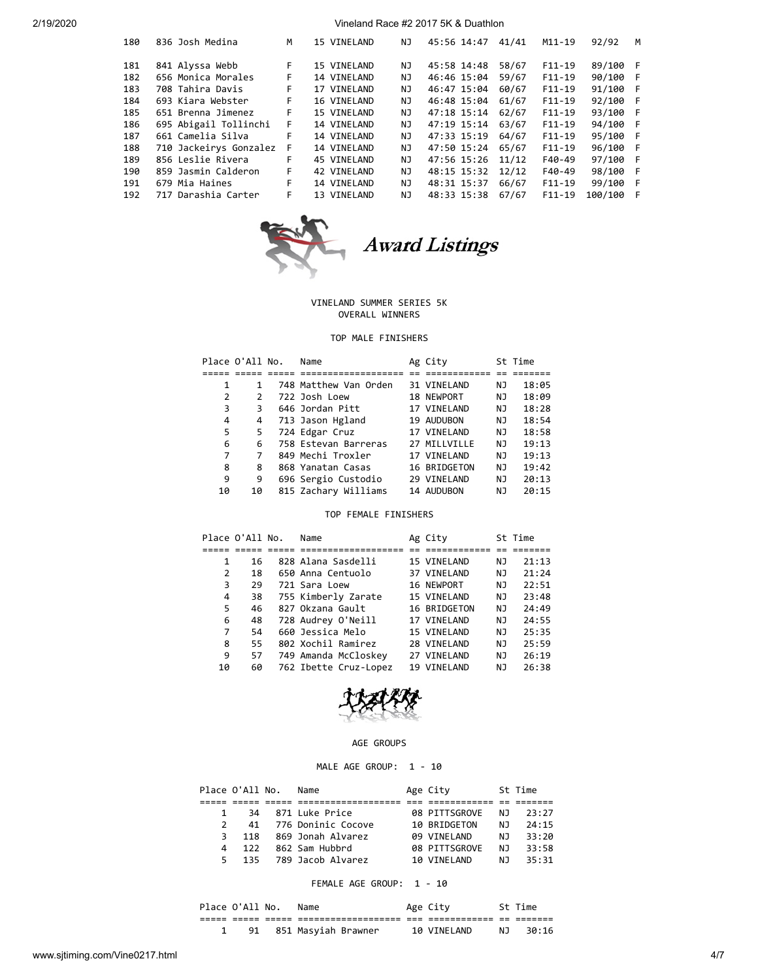| 180 | 836 Josh Medina        | M  | 15 VINELAND | ΝJ  | 45:56 14:47       | 41/41 | M11-19   | 92/92    | M   |
|-----|------------------------|----|-------------|-----|-------------------|-------|----------|----------|-----|
| 181 | 841 Alyssa Webb        | F. | 15 VINELAND | ΝJ  | 45:58 14:48       | 58/67 | $F11-19$ | 89/100 F |     |
| 182 | 656 Monica Morales     | F  | 14 VINELAND | ΝJ  | 46:46 15:04       | 59/67 | $F11-19$ | 90/100 F |     |
| 183 | 708 Tahira Davis       | F. | 17 VINELAND | NJ. | 46:47 15:04       | 60/67 | $F11-19$ | 91/100 F |     |
| 184 | 693 Kiara Webster      | F. | 16 VINELAND | NJ. | 46:48 15:04       | 61/67 | $F11-19$ | 92/100 F |     |
| 185 | 651 Brenna Jimenez     | F. | 15 VINELAND | NJ. | 47:18 15:14 62/67 |       | $F11-19$ | 93/100 F |     |
| 186 | 695 Abigail Tollinchi  | F. | 14 VINELAND | NJ. | 47:19 15:14 63/67 |       | $F11-19$ | 94/100 F |     |
| 187 | 661 Camelia Silva      | F  | 14 VINELAND | NJ. | 47:33 15:19       | 64/67 | $F11-19$ | 95/100 F |     |
| 188 | 710 Jackeirys Gonzalez | F  | 14 VINELAND | NJ. | 47:50 15:24 65/67 |       | $F11-19$ | 96/100 F |     |
| 189 | 856 Leslie Rivera      | F  | 45 VINELAND | NJ. | 47:56 15:26       | 11/12 | F40-49   | 97/100 F |     |
| 190 | 859 Jasmin Calderon    | F. | 42 VINELAND | NJ. | 48:15 15:32       | 12/12 | $F40-49$ | 98/100 F |     |
| 191 | 679 Mia Haines         | F. | 14 VINELAND | NJ  | 48:31 15:37       | 66/67 | $F11-19$ | 99/100 F |     |
| 192 | 717 Darashia Carter    | F  | 13 VINELAND | ΝJ  | 48:33 15:38       | 67/67 | $F11-19$ | 100/100  | - F |
|     |                        |    |             |     |                   |       |          |          |     |



# Award Listings

## VINELAND SUMMER SERIES 5K OVERALL WINNERS

## TOP MALE FINISHERS

|    | Place O'All No. | Name                  | Ag City      |    | St Time |
|----|-----------------|-----------------------|--------------|----|---------|
|    |                 |                       |              |    |         |
| 1  | 1               | 748 Matthew Van Orden | 31 VINELAND  | NJ | 18:05   |
| 2  | 2               | 722 Josh Loew         | 18 NEWPORT   | ΝJ | 18:09   |
| 3  | 3               | 646 Jordan Pitt       | 17 VINELAND  | ΝJ | 18:28   |
| 4  | 4               | 713 Jason Hgland      | 19 AUDUBON   | NJ | 18:54   |
| 5  | 5               | 724 Edgar Cruz        | 17 VINELAND  | NJ | 18:58   |
| 6  | 6               | 758 Estevan Barreras  | 27 MILLVILLE | NJ | 19:13   |
| 7  | 7               | 849 Mechi Troxler     | 17 VINELAND  | NJ | 19:13   |
| 8  | 8               | 868 Yanatan Casas     | 16 BRIDGETON | NJ | 19:42   |
| 9  | 9               | 696 Sergio Custodio   | 29 VINELAND  | ΝJ | 20:13   |
| 10 | 10              | 815 Zachary Williams  | 14 AUDUBON   | ΝJ | 20:15   |

## TOP FEMALE FINISHERS

|    | Place O'All No. | Name                  | Ag City      |    | St Time |
|----|-----------------|-----------------------|--------------|----|---------|
|    |                 |                       |              |    |         |
| 1  | 16              | 828 Alana Sasdelli    | 15 VINELAND  | ΝJ | 21:13   |
| 2  | 18              | 650 Anna Centuolo     | 37 VINELAND  | ΝJ | 21:24   |
| 3  | 29              | 721 Sara Loew         | 16 NEWPORT   | NJ | 22:51   |
| 4  | 38              | 755 Kimberly Zarate   | 15 VINELAND  | NJ | 23:48   |
| 5  | 46              | 827 Okzana Gault      | 16 BRIDGETON | NJ | 24:49   |
| 6  | 48              | 728 Audrey O'Neill    | 17 VINELAND  | NJ | 24:55   |
| 7  | 54              | 660 Jessica Melo      | 15 VINELAND  | ΝJ | 25:35   |
| 8  | 55              | 802 Xochil Ramirez    | 28 VINELAND  | NJ | 25:59   |
| 9  | 57              | 749 Amanda McCloskey  | 27 VINELAND  | NJ | 26:19   |
| 10 | 60              | 762 Ibette Cruz-Lopez | 19 VINELAND  | ΝJ | 26:38   |



## AGE GROUPS

# MALE AGE GROUP: 1 - 10

|               | Place O'All No. | Name               | Age City      |     | St Time |
|---------------|-----------------|--------------------|---------------|-----|---------|
|               |                 |                    |               |     |         |
| $\mathbf{1}$  | 34              | 871 Luke Price     | 08 PITTSGROVE | NJ. | 23:27   |
| $\mathcal{P}$ | 41              | 776 Doninic Cocove | 10 BRIDGETON  | N J | 24:15   |
| 3.            | 118             | 869 Jonah Alvarez  | 09 VINELAND   | N J | 33:20   |
| 4             | 122             | 862 Sam Hubbrd     | 08 PITTSGROVE | N J | 33:58   |
| 5.            | 135             | 789 Jacob Alvarez  | 10 VTNFI AND  | ΝJ  | 35:31   |

# FEMALE AGE GROUP: 1 - 10

| Place O'All No. | Name                |     | Age City     |     | St Time |
|-----------------|---------------------|-----|--------------|-----|---------|
|                 |                     | ___ |              |     |         |
| 91              | 851 Masyiah Brawner |     | 10 VTNFI AND | N T | 30:16   |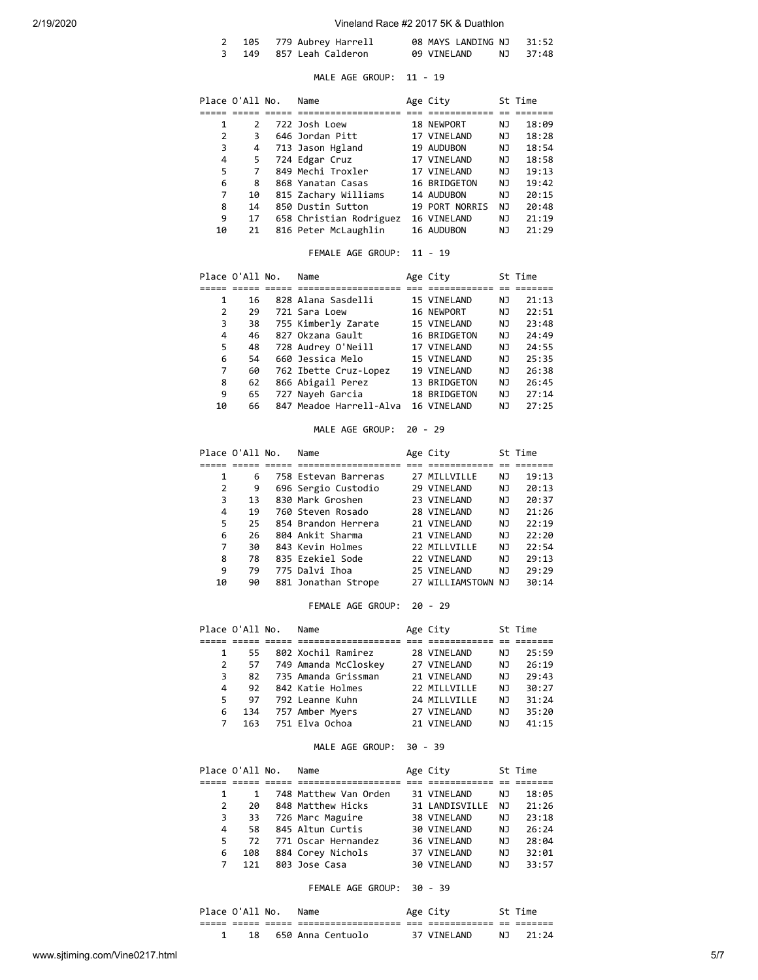|  | 2 105 779 Aubrey Harrell | 08 MAYS LANDING NJ 31:52 |  |          |
|--|--------------------------|--------------------------|--|----------|
|  | 3 149 857 Leah Calderon  | 09 VINELAND              |  | NJ 37:48 |

# MALE AGE GROUP: 11 - 19

|    | Place O'All No. | Name                    | Age City       |    | St Time |
|----|-----------------|-------------------------|----------------|----|---------|
|    |                 |                         |                |    |         |
| 1  | $\mathcal{P}$   | 722 Josh Loew           | 18 NEWPORT     | ΝJ | 18:09   |
| 2  | 3               | 646 Jordan Pitt         | 17 VINELAND    | NJ | 18:28   |
| 3  | 4               | 713 Jason Hgland        | 19 AUDUBON     | ΝJ | 18:54   |
| 4  | 5               | 724 Edgar Cruz          | 17 VINELAND    | ΝJ | 18:58   |
| 5  | 7               | 849 Mechi Troxler       | 17 VINELAND    | NJ | 19:13   |
| 6  | 8               | 868 Yanatan Casas       | 16 BRIDGETON   | NJ | 19:42   |
| 7  | 10              | 815 Zachary Williams    | 14 AUDUBON     | ΝJ | 20:15   |
| 8  | 14              | 850 Dustin Sutton       | 19 PORT NORRIS | NJ | 20:48   |
| 9  | 17              | 658 Christian Rodriguez | 16 VINELAND    | ΝJ | 21:19   |
| 10 | 21              | 816 Peter McLaughlin    | 16 AUDUBON     | ΝJ | 21:29   |

# FEMALE AGE GROUP: 11 - 19

|    | Place O'All No. | Name                    | Age City     |    | St Time |
|----|-----------------|-------------------------|--------------|----|---------|
|    |                 |                         |              |    |         |
| 1  | 16              | 828 Alana Sasdelli      | 15 VINELAND  | ΝJ | 21:13   |
| 2  | 29              | 721 Sara Loew           | 16 NEWPORT   | ΝJ | 22:51   |
| 3  | 38              | 755 Kimberly Zarate     | 15 VINELAND  | ΝJ | 23:48   |
| 4  | 46              | 827 Okzana Gault        | 16 BRIDGETON | NJ | 24:49   |
| 5. | 48              | 728 Audrey O'Neill      | 17 VINELAND  | ΝJ | 24:55   |
| 6  | 54              | 660 Jessica Melo        | 15 VINELAND  | ΝJ | 25:35   |
| 7  | 60              | 762 Ibette Cruz-Lopez   | 19 VINELAND  | ΝJ | 26:38   |
| 8  | 62              | 866 Abigail Perez       | 13 BRIDGETON | ΝJ | 26:45   |
| 9  | 65              | 727 Nayeh Garcia        | 18 BRIDGETON | ΝJ | 27:14   |
| 10 | 66              | 847 Meadoe Harrell-Alva | 16 VINELAND  | ΝJ | 27:25   |

# MALE AGE GROUP: 20 - 29

|    | Place O'All No. | Name                 | Age City           |    | St Time |
|----|-----------------|----------------------|--------------------|----|---------|
|    |                 |                      |                    |    |         |
| 1  | 6               | 758 Estevan Barreras | 27 MILLVILLE       | ΝJ | 19:13   |
| 2  | 9               | 696 Sergio Custodio  | 29 VINELAND        | ΝJ | 20:13   |
| 3  | 13              | 830 Mark Groshen     | 23 VINELAND        | ΝJ | 20:37   |
| 4  | 19              | 760 Steven Rosado    | 28 VINELAND        | ΝJ | 21:26   |
| 5  | 25              | 854 Brandon Herrera  | 21 VINELAND        | ΝJ | 22:19   |
| 6  | 26              | 804 Ankit Sharma     | 21 VINELAND        | ΝJ | 22:20   |
| 7  | 30              | 843 Kevin Holmes     | 22 MTIIVTIIF       | ΝJ | 22:54   |
| 8  | 78              | 835 Ezekiel Sode     | 22 VINELAND        | ΝJ | 29:13   |
| 9  | 79              | 775 Dalvi Ihoa       | 25 VINELAND        | ΝJ | 29:29   |
| 10 | 90              | 881 Jonathan Strope  | 27 WILLIAMSTOWN NJ |    | 30:14   |

# FEMALE AGE GROUP: 20 - 29

|              | Place O'All No. | Name                 | Age City     |    | St Time |
|--------------|-----------------|----------------------|--------------|----|---------|
|              |                 |                      |              |    |         |
| $\mathbf{1}$ | 55              | 802 Xochil Ramirez   | 28 VINELAND  | ΝJ | 25:59   |
| 2            | 57              | 749 Amanda McCloskey | 27 VINELAND  | NJ | 26:19   |
| 3            | 82              | 735 Amanda Grissman  | 21 VINELAND  | NJ | 29:43   |
| 4            | 92              | 842 Katie Holmes     | 22 MTIIVTIIF | NJ | 30:27   |
| 5.           | 97              | 792 Leanne Kuhn      | 24 MILLVILLE | NJ | 31:24   |
| 6            | 134             | 757 Amber Myers      | 27 VINELAND  | NJ | 35:20   |
| 7            | 163             | 751 Elva Ochoa       | 21 VINELAND  | ΝJ | 41:15   |

## MALE AGE GROUP: 30 - 39

|    | Place O'All No. | Name                  | Age City       |     | St Time |
|----|-----------------|-----------------------|----------------|-----|---------|
|    |                 |                       |                |     |         |
|    |                 | 748 Matthew Van Orden | 31 VINELAND    | ΝJ  | 18:05   |
| 2  | 2Q              | 848 Matthew Hicks     | 31 LANDISVILLE | ΝJ  | 21:26   |
| 3  | 33              | 726 Marc Maguire      | 38 VINELAND    | NJ  | 23:18   |
| 4  | 58              | 845 Altun Curtis      | 30 VINELAND    | NJ  | 26:24   |
| 5. | 72              | 771 Oscar Hernandez   | 36 VINELAND    | N J | 28:04   |
| 6  | 108             | 884 Corey Nichols     | 37 VINELAND    | NJ  | 32:01   |
|    | 121             | 803 Jose Casa         | 30 VINELAND    | N J | 33:57   |

## FEMALE AGE GROUP: 30 - 39

|  | Place O'All No. |      | Name              |            | Age City    |      | St Time |
|--|-----------------|------|-------------------|------------|-------------|------|---------|
|  | _____           | ---- | ----------------- | ---<br>___ |             | $ -$ |         |
|  | 18              |      | 650 Anna Centuolo |            | 37 VINELAND | N T  | 21:24   |